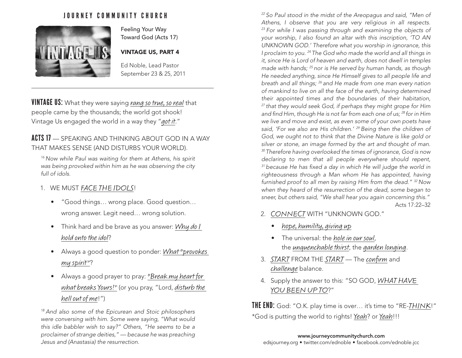## JOURNEY COMMUNITY CHURCH



Feeling Your Way Toward God (Acts 17)

#### VINTAGE US, PART 4

Ed Noble, Lead Pastor September 23 & 25, 2011

VINTAGE US: What they were saying rang so true, so real that people came by the thousands; the world got shook! Vintage Us engaged the world in a way they "got it."

# ACTS 17 — SPEAKING AND THINKING ABOUT GOD IN A WAY THAT MAKES SENSE (AND DISTURBS YOUR WORLD).

*16 Now while Paul was waiting for them at Athens, his spirit was being provoked within him as he was observing the city full of idols.*

### 1. WE MUST FACE THE IDOLS!

- "Good things… wrong place. Good question… wrong answer. Legit need… wrong solution.
- Think hard and be brave as you answer: Why do I hold onto the idol?
- Always a good question to ponder: What "provokes" my spirit"?
- Always a good prayer to pray: "Break my heart for what breaks Yours!" (or you pray, "Lord, disturb the hell out of me!")

*18 And also some of the Epicurean and Stoic philosophers were conversing with him. Some were saying, "What would this idle babbler wish to say?" Others, "He seems to be a proclaimer of strange deities," — because he was preaching Jesus and (Anastasia) the resurrection.* 

*22 So Paul stood in the midst of the Areopagus and said, "Men of Athens, I observe that you are very religious in all respects. 23 For while I was passing through and examining the objects of your worship, I also found an altar with this inscription, 'TO AN UNKNOWN GOD.' Therefore what you worship in ignorance, this I proclaim to you. 24 The God who made the world and all things in it, since He is Lord of heaven and earth, does not dwell in temples made with hands; 25 nor is He served by human hands, as though He needed anything, since He Himself gives to all people life and breath and all things; 26 and He made from one man every nation of mankind to live on all the face of the earth, having determined their appointed times and the boundaries of their habitation, 27 that they would seek God, if perhaps they might grope for Him and find Him, though He is not far from each one of us; 28 for in Him we live and move and exist, as even some of your own poets have said, 'For we also are His children.' 29 Being then the children of God, we ought not to think that the Divine Nature is like gold or silver or stone, an image formed by the art and thought of man. 30 Therefore having overlooked the times of ignorance, God is now declaring to men that all people everywhere should repent, 31 because He has fixed a day in which He will judge the world in righteousness through a Man whom He has appointed, having furnished proof to all men by raising Him from the dead." 32 Now when they heard of the resurrection of the dead, some began to sneer, but others said, "We shall hear you again concerning this."* Acts 17:22–32

- 2. CONNECT WITH "UNKNOWN GOD."
	- hope, humility, giving up
	- The universal: the *hole in our soul*, the unquenchable thirst, the garden longing.
- 3. START FROM THE START The confirm and challenge balance.
- 4. Supply the answer to this: "SO GOD, WHAT HAVE YOU BEEN UP TO?"

**THE END:** God: "O.K. play time is over... it's time to "RE-THINK!" \*God is putting the world to rights! Yeah? or Yeah!!!